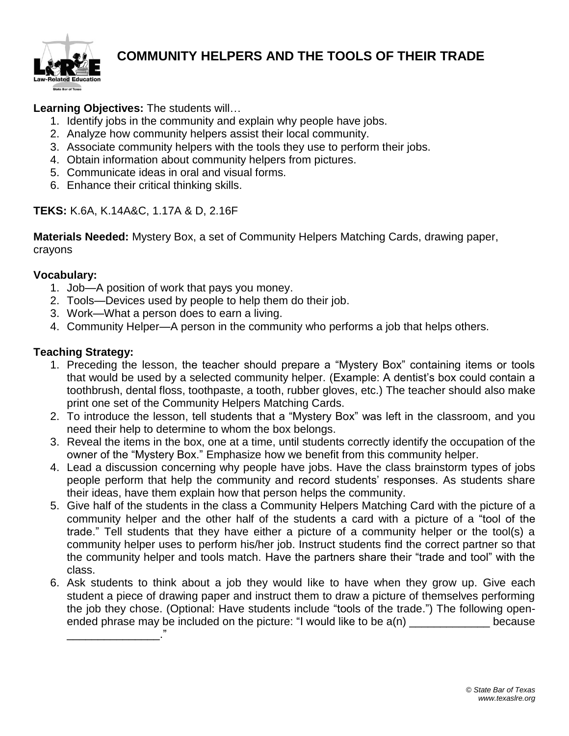

## **COMMUNITY HELPERS AND THE TOOLS OF THEIR TRADE**

**Learning Objectives:** The students will…

- 1. Identify jobs in the community and explain why people have jobs.
- 2. Analyze how community helpers assist their local community.
- 3. Associate community helpers with the tools they use to perform their jobs.
- 4. Obtain information about community helpers from pictures.
- 5. Communicate ideas in oral and visual forms.
- 6. Enhance their critical thinking skills.

### **TEKS:** K.6A, K.14A&C, 1.17A & D, 2.16F

**Materials Needed:** Mystery Box, a set of Community Helpers Matching Cards, drawing paper, crayons

#### **Vocabulary:**

- 1. Job—A position of work that pays you money.
- 2. Tools—Devices used by people to help them do their job.
- 3. Work—What a person does to earn a living.
- 4. Community Helper—A person in the community who performs a job that helps others.

#### **Teaching Strategy:**

\_\_\_\_\_\_\_\_\_\_\_\_\_\_\_."

- 1. Preceding the lesson, the teacher should prepare a "Mystery Box" containing items or tools that would be used by a selected community helper. (Example: A dentist's box could contain a toothbrush, dental floss, toothpaste, a tooth, rubber gloves, etc.) The teacher should also make print one set of the Community Helpers Matching Cards.
- 2. To introduce the lesson, tell students that a "Mystery Box" was left in the classroom, and you need their help to determine to whom the box belongs.
- 3. Reveal the items in the box, one at a time, until students correctly identify the occupation of the owner of the "Mystery Box." Emphasize how we benefit from this community helper.
- 4. Lead a discussion concerning why people have jobs. Have the class brainstorm types of jobs people perform that help the community and record students' responses. As students share their ideas, have them explain how that person helps the community.
- 5. Give half of the students in the class a Community Helpers Matching Card with the picture of a community helper and the other half of the students a card with a picture of a "tool of the trade." Tell students that they have either a picture of a community helper or the tool(s) a community helper uses to perform his/her job. Instruct students find the correct partner so that the community helper and tools match. Have the partners share their "trade and tool" with the class.
- 6. Ask students to think about a job they would like to have when they grow up. Give each student a piece of drawing paper and instruct them to draw a picture of themselves performing the job they chose. (Optional: Have students include "tools of the trade.") The following openended phrase may be included on the picture: "I would like to be  $a(n)$  \_\_\_\_\_\_\_\_\_\_\_\_\_\_\_ because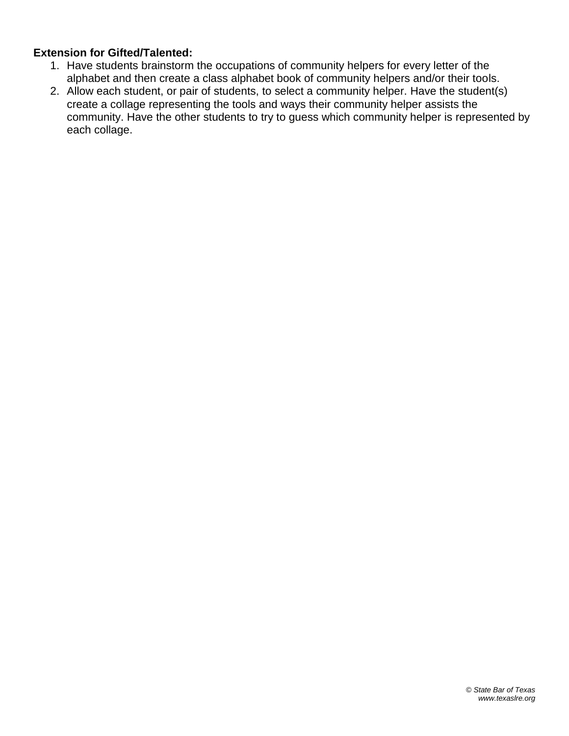#### **Extension for Gifted/Talented:**

- 1. Have students brainstorm the occupations of community helpers for every letter of the alphabet and then create a class alphabet book of community helpers and/or their tools.
- 2. Allow each student, or pair of students, to select a community helper. Have the student(s) create a collage representing the tools and ways their community helper assists the community. Have the other students to try to guess which community helper is represented by each collage.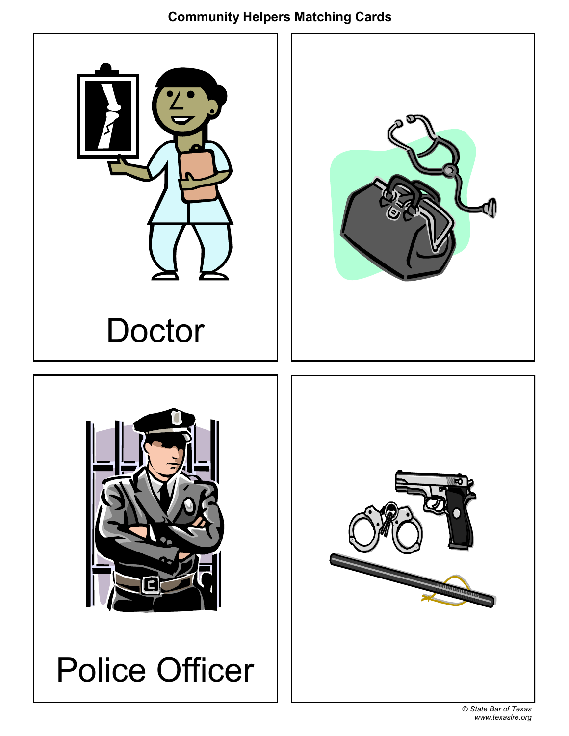# **Community Helpers Matching Cards**

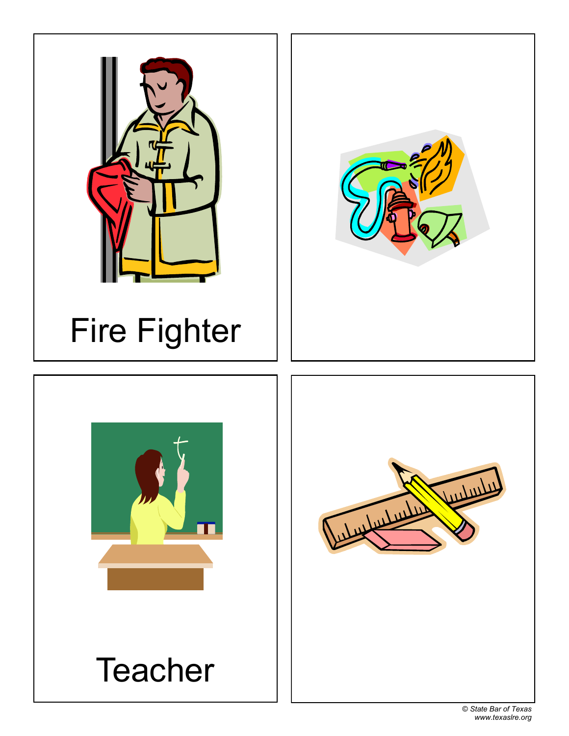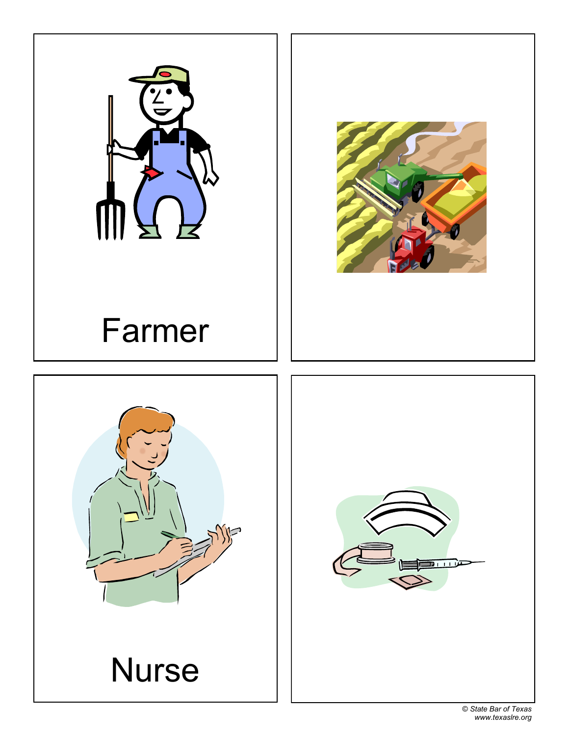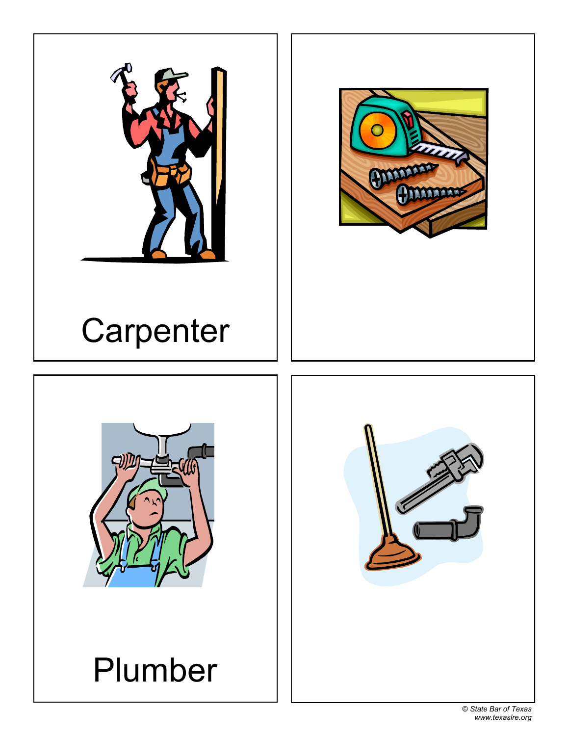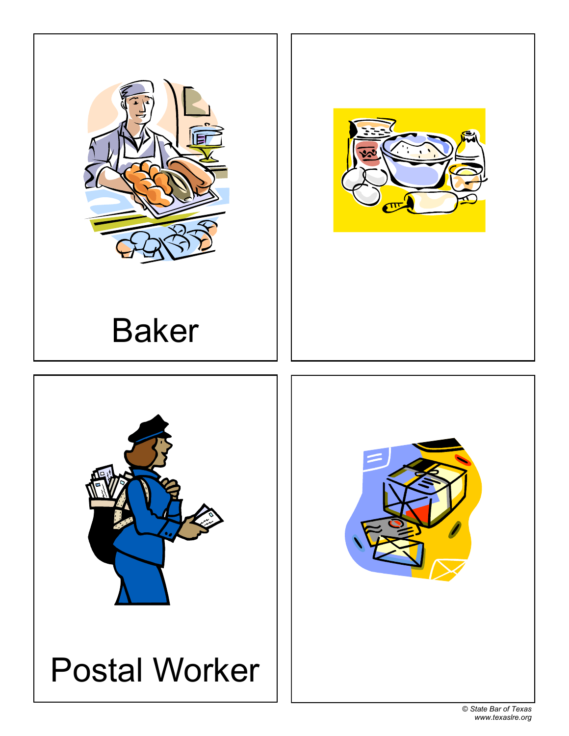